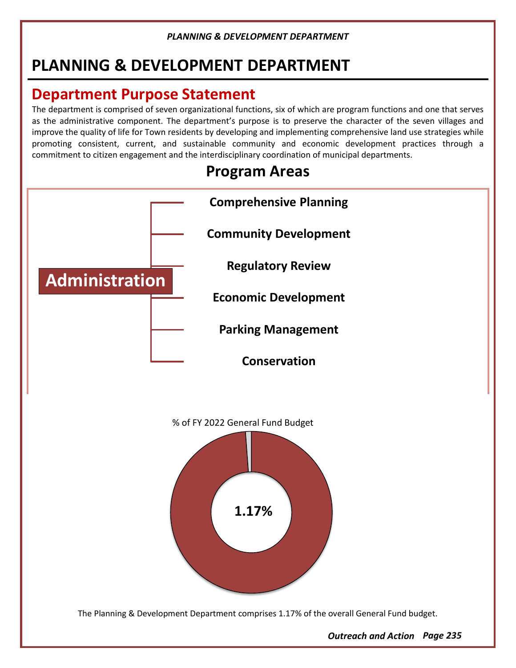# **PLANNING & DEVELOPMENT DEPARTMENT**

# **Department Purpose Statement**

The department is comprised of seven organizational functions, six of which are program functions and one that serves as the administrative component. The department's purpose is to preserve the character of the seven villages and improve the quality of life for Town residents by developing and implementing comprehensive land use strategies while promoting consistent, current, and sustainable community and economic development practices through a commitment to citizen engagement and the interdisciplinary coordination of municipal departments.



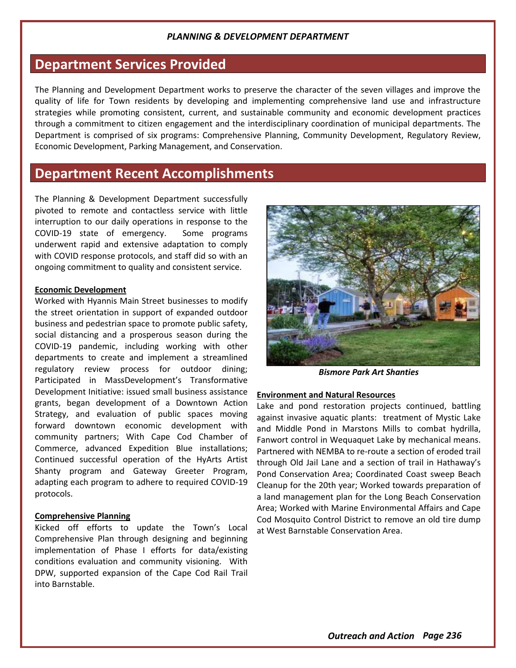## **Department Services Provided**

The Planning and Development Department works to preserve the character of the seven villages and improve the quality of life for Town residents by developing and implementing comprehensive land use and infrastructure strategies while promoting consistent, current, and sustainable community and economic development practices through a commitment to citizen engagement and the interdisciplinary coordination of municipal departments. The Department is comprised of six programs: Comprehensive Planning, Community Development, Regulatory Review, Economic Development, Parking Management, and Conservation.

# **Department Recent Accomplishments**

The Planning & Development Department successfully pivoted to remote and contactless service with little interruption to our daily operations in response to the COVID-19 state of emergency. Some programs underwent rapid and extensive adaptation to comply with COVID response protocols, and staff did so with an ongoing commitment to quality and consistent service.

#### **Economic Development**

Worked with Hyannis Main Street businesses to modify the street orientation in support of expanded outdoor business and pedestrian space to promote public safety, social distancing and a prosperous season during the COVID-19 pandemic, including working with other departments to create and implement a streamlined regulatory review process for outdoor dining; Participated in MassDevelopment's Transformative Development Initiative: issued small business assistance grants, began development of a Downtown Action Strategy, and evaluation of public spaces moving forward downtown economic development with community partners; With Cape Cod Chamber of Commerce, advanced Expedition Blue installations; Continued successful operation of the HyArts Artist Shanty program and Gateway Greeter Program, adapting each program to adhere to required COVID-19 protocols.

#### **Comprehensive Planning**

Kicked off efforts to update the Town's Local Comprehensive Plan through designing and beginning implementation of Phase I efforts for data/existing conditions evaluation and community visioning. With DPW, supported expansion of the Cape Cod Rail Trail into Barnstable.



*Bismore Park Art Shanties*

#### **Environment and Natural Resources**

Lake and pond restoration projects continued, battling against invasive aquatic plants: treatment of Mystic Lake and Middle Pond in Marstons Mills to combat hydrilla, Fanwort control in Wequaquet Lake by mechanical means. Partnered with NEMBA to re-route a section of eroded trail through Old Jail Lane and a section of trail in Hathaway's Pond Conservation Area; Coordinated Coast sweep Beach Cleanup for the 20th year; Worked towards preparation of a land management plan for the Long Beach Conservation Area; Worked with Marine Environmental Affairs and Cape Cod Mosquito Control District to remove an old tire dump at West Barnstable Conservation Area.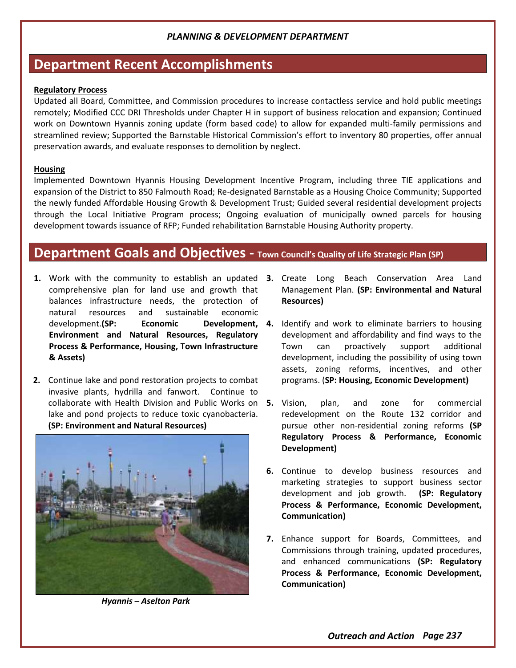## **Department Recent Accomplishments**

#### **Regulatory Process**

Updated all Board, Committee, and Commission procedures to increase contactless service and hold public meetings remotely; Modified CCC DRI Thresholds under Chapter H in support of business relocation and expansion; Continued work on Downtown Hyannis zoning update (form based code) to allow for expanded multi-family permissions and streamlined review; Supported the Barnstable Historical Commission's effort to inventory 80 properties, offer annual preservation awards, and evaluate responses to demolition by neglect.

#### **Housing**

Implemented Downtown Hyannis Housing Development Incentive Program, including three TIE applications and expansion of the District to 850 Falmouth Road; Re-designated Barnstable as a Housing Choice Community; Supported the newly funded Affordable Housing Growth & Development Trust; Guided several residential development projects through the Local Initiative Program process; Ongoing evaluation of municipally owned parcels for housing development towards issuance of RFP; Funded rehabilitation Barnstable Housing Authority property.

## **Department Goals and Objectives - Town Council's Quality of Life Strategic Plan (SP)**

- **1.** Work with the community to establish an updated **3.** Create Long Beach Conservation Area Land comprehensive plan for land use and growth that balances infrastructure needs, the protection of natural resources and sustainable economic development.**(SP: Economic Environment and Natural Resources, Regulatory Process & Performance, Housing, Town Infrastructure & Assets)**
- **2.** Continue lake and pond restoration projects to combat invasive plants, hydrilla and fanwort. Continue to collaborate with Health Division and Public Works on 5. Vision, lake and pond projects to reduce toxic cyanobacteria. **(SP: Environment and Natural Resources)**



*Hyannis – Aselton Park*

- Management Plan. **(SP: Environmental and Natural Resources)**
- **Development, 4.** Identify and work to eliminate barriers to housing development and affordability and find ways to the Town can proactively support additional development, including the possibility of using town assets, zoning reforms, incentives, and other programs. (**SP: Housing, Economic Development)**
	- **5.** Vision, plan, and zone for commercial redevelopment on the Route 132 corridor and pursue other non-residential zoning reforms **(SP Regulatory Process & Performance, Economic Development)**
	- **6.** Continue to develop business resources and marketing strategies to support business sector development and job growth. **(SP: Regulatory Process & Performance, Economic Development, Communication)**
	- **7.** Enhance support for Boards, Committees, and Commissions through training, updated procedures, and enhanced communications **(SP: Regulatory Process & Performance, Economic Development, Communication)**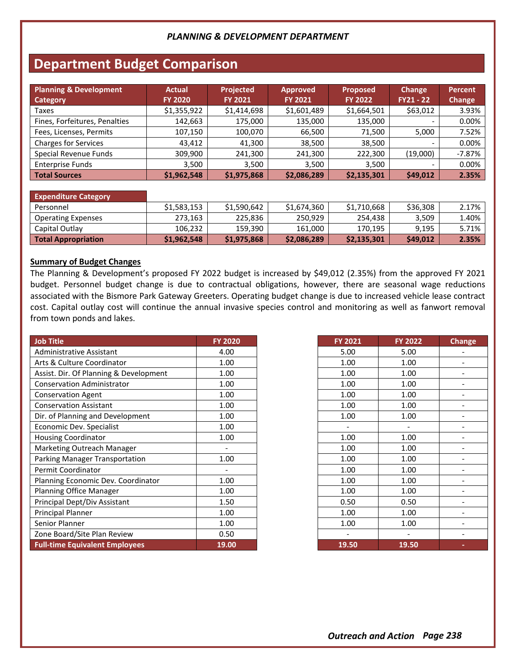# **Department Budget Comparison**

| <b>Planning &amp; Development</b><br><b>Category</b> | <b>Actual</b><br><b>FY 2020</b> | <b>Projected</b><br><b>FY 2021</b> | <b>Approved</b><br><b>FY 2021</b> | <b>Proposed</b><br><b>FY 2022</b> | Change<br>$FY21 - 22$ | Percent<br>Change |
|------------------------------------------------------|---------------------------------|------------------------------------|-----------------------------------|-----------------------------------|-----------------------|-------------------|
| Taxes                                                | \$1,355,922                     | \$1,414,698                        | \$1,601,489                       | \$1,664,501                       | \$63,012              | 3.93%             |
| Fines, Forfeitures, Penalties                        | 142,663                         | 175,000                            | 135,000                           | 135,000                           |                       | 0.00%             |
| Fees, Licenses, Permits                              | 107,150                         | 100,070                            | 66,500                            | 71,500                            | 5,000                 | 7.52%             |
| <b>Charges for Services</b>                          | 43,412                          | 41,300                             | 38,500                            | 38,500                            |                       | 0.00%             |
| Special Revenue Funds                                | 309,900                         | 241,300                            | 241,300                           | 222,300                           | (19,000)              | $-7.87%$          |
| <b>Enterprise Funds</b>                              | 3.500                           | 3,500                              | 3,500                             | 3,500                             |                       | 0.00%             |
| <b>Total Sources</b>                                 | \$1,962,548                     | \$1,975,868                        | \$2,086,289                       | \$2,135,301                       | \$49,012              | 2.35%             |

#### **Expenditure Category**

| Personnel                 | \$1.583.153 | \$1,590,642 | \$1,674,360 | \$1,710,668 | \$36,308 | 2.17%    |
|---------------------------|-------------|-------------|-------------|-------------|----------|----------|
| <b>Operating Expenses</b> | 273.163     | 225.836     | 250.929     | 254.438     | 3.509    | $1.40\%$ |
| Capital Outlay            | 106.232     | 159,390     | 161,000     | 170,195     | 9.195    | 5.71%    |
| Total Appropriation       | \$1,962,548 | \$1,975,868 | \$2,086,289 | \$2,135,301 | \$49,012 | 2.35%    |

#### **Summary of Budget Changes**

The Planning & Development's proposed FY 2022 budget is increased by \$49,012 (2.35%) from the approved FY 2021 budget. Personnel budget change is due to contractual obligations, however, there are seasonal wage reductions associated with the Bismore Park Gateway Greeters. Operating budget change is due to increased vehicle lease contract cost. Capital outlay cost will continue the annual invasive species control and monitoring as well as fanwort removal from town ponds and lakes.

| <b>Job Title</b>                       | <b>FY 2020</b> |
|----------------------------------------|----------------|
| Administrative Assistant               | 4.00           |
| Arts & Culture Coordinator             | 1.00           |
| Assist. Dir. Of Planning & Development | 1.00           |
| <b>Conservation Administrator</b>      | 1.00           |
| <b>Conservation Agent</b>              | 1.00           |
| <b>Conservation Assistant</b>          | 1.00           |
| Dir. of Planning and Development       | 1.00           |
| Economic Dev. Specialist               | 1.00           |
| <b>Housing Coordinator</b>             | 1.00           |
| Marketing Outreach Manager             |                |
| Parking Manager Transportation         | 1.00           |
| Permit Coordinator                     |                |
| Planning Economic Dev. Coordinator     | 1.00           |
| <b>Planning Office Manager</b>         | 1.00           |
| Principal Dept/Div Assistant           | 1.50           |
| Principal Planner                      | 1.00           |
| Senior Planner                         | 1.00           |
| Zone Board/Site Plan Review            | 0.50           |
| <b>Full-time Equivalent Employees</b>  | 19.00          |

| FY 2021 | <b>FY 2022</b> | <b>Change</b> |
|---------|----------------|---------------|
| 5.00    | 5.00           |               |
| 1.00    | 1.00           |               |
| 1.00    | 1.00           |               |
| 1.00    | 1.00           |               |
| 1.00    | 1.00           |               |
| 1.00    | 1.00           |               |
| 1.00    | 1.00           |               |
|         |                |               |
| 1.00    | 1.00           |               |
| 1.00    | 1.00           |               |
| 1.00    | 1.00           |               |
| 1.00    | 1.00           |               |
| 1.00    | 1.00           |               |
| 1.00    | 1.00           |               |
| 0.50    | 0.50           |               |
| 1.00    | 1.00           |               |
| 1.00    | 1.00           |               |
|         |                |               |
| 19.50   | 19.50          |               |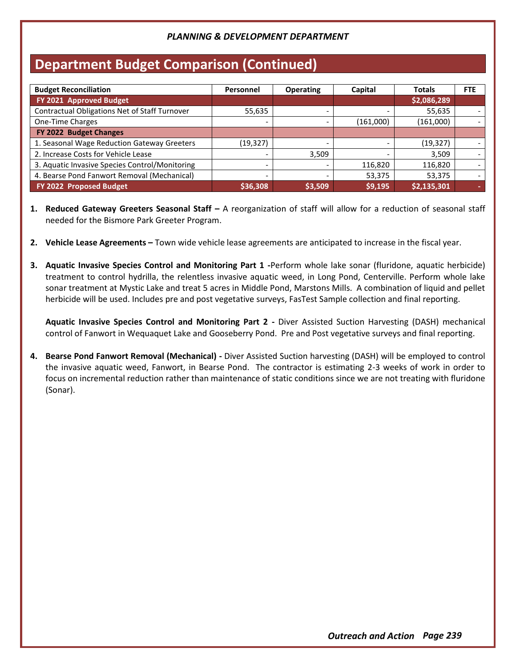# **Department Budget Comparison (Continued)**

| <b>Budget Reconciliation</b>                   | Personnel                | <b>Operating</b> | Capital   | <b>Totals</b> | <b>FTE</b> |
|------------------------------------------------|--------------------------|------------------|-----------|---------------|------------|
| FY 2021 Approved Budget                        |                          |                  |           | \$2,086,289   |            |
| Contractual Obligations Net of Staff Turnover  | 55,635                   |                  |           | 55,635        |            |
| One-Time Charges                               |                          |                  | (161,000) | (161,000)     |            |
| FY 2022 Budget Changes                         |                          |                  |           |               |            |
| 1. Seasonal Wage Reduction Gateway Greeters    | (19,327)                 |                  |           | (19, 327)     |            |
| 2. Increase Costs for Vehicle Lease            |                          | 3,509            |           | 3,509         |            |
| 3. Aquatic Invasive Species Control/Monitoring |                          |                  | 116,820   | 116,820       |            |
| 4. Bearse Pond Fanwort Removal (Mechanical)    | $\overline{\phantom{0}}$ |                  | 53,375    | 53,375        |            |
| FY 2022 Proposed Budget                        | \$36,308                 | \$3,509          | \$9,195   | \$2,135,301   |            |

- **1. Reduced Gateway Greeters Seasonal Staff –** A reorganization of staff will allow for a reduction of seasonal staff needed for the Bismore Park Greeter Program.
- **2. Vehicle Lease Agreements –** Town wide vehicle lease agreements are anticipated to increase in the fiscal year.
- **3. Aquatic Invasive Species Control and Monitoring Part 1 -**Perform whole lake sonar (fluridone, aquatic herbicide) treatment to control hydrilla, the relentless invasive aquatic weed, in Long Pond, Centerville. Perform whole lake sonar treatment at Mystic Lake and treat 5 acres in Middle Pond, Marstons Mills. A combination of liquid and pellet herbicide will be used. Includes pre and post vegetative surveys, FasTest Sample collection and final reporting.

**Aquatic Invasive Species Control and Monitoring Part 2 -** Diver Assisted Suction Harvesting (DASH) mechanical control of Fanwort in Wequaquet Lake and Gooseberry Pond. Pre and Post vegetative surveys and final reporting.

**4. Bearse Pond Fanwort Removal (Mechanical) -** Diver Assisted Suction harvesting (DASH) will be employed to control the invasive aquatic weed, Fanwort, in Bearse Pond. The contractor is estimating 2-3 weeks of work in order to focus on incremental reduction rather than maintenance of static conditions since we are not treating with fluridone (Sonar).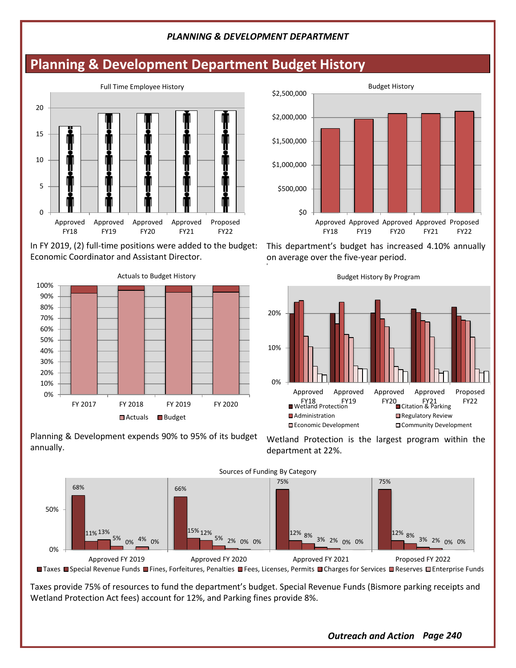# **Planning & Development Department Budget History**



In FY 2019, (2) full-time positions were added to the budget: Economic Coordinator and Assistant Director.



Planning & Development expends 90% to 95% of its budget annually.



This department's budget has increased 4.10% annually on average over the five-year period. 8



Wetland Protection is the largest program within the department at 22%.



■ Taxes ■ Special Revenue Funds ■ Fines, Forfeitures, Penalties ■ Fees, Licenses, Permits ■ Charges for Services ■ Reserves ■ Enterprise Funds

Taxes provide 75% of resources to fund the department's budget. Special Revenue Funds (Bismore parking receipts and Wetland Protection Act fees) account for 12%, and Parking fines provide 8%.

*Outreach and Action Page 240*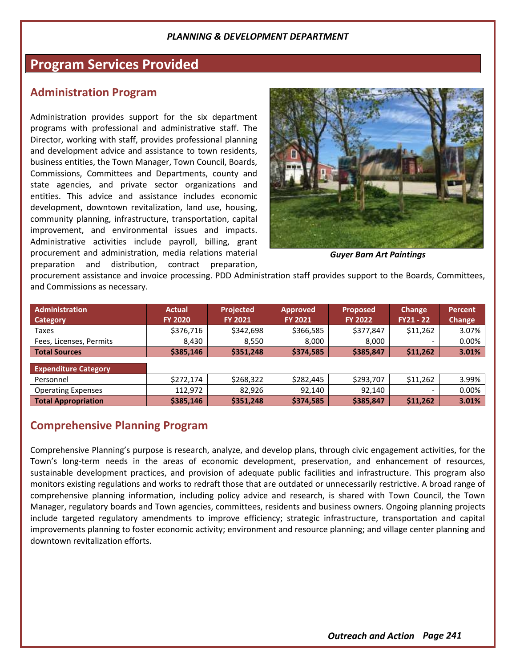## **Program Services Provided**

### **Administration Program**

Administration provides support for the six department programs with professional and administrative staff. The Director, working with staff, provides professional planning and development advice and assistance to town residents, business entities, the Town Manager, Town Council, Boards, Commissions, Committees and Departments, county and state agencies, and private sector organizations and entities. This advice and assistance includes economic development, downtown revitalization, land use, housing, community planning, infrastructure, transportation, capital improvement, and environmental issues and impacts. Administrative activities include payroll, billing, grant procurement and administration, media relations material preparation and distribution, contract preparation,



*Guyer Barn Art Paintings*

procurement assistance and invoice processing. PDD Administration staff provides support to the Boards, Committees, and Commissions as necessary.

| Administration              | <b>Actual</b>  | <b>Projected</b> | <b>Approved</b> | <b>Proposed</b> | <b>Change</b>            | Percent |
|-----------------------------|----------------|------------------|-----------------|-----------------|--------------------------|---------|
| <b>Category</b>             | <b>FY 2020</b> | <b>FY 2021</b>   | <b>FY 2021</b>  | <b>FY 2022</b>  | $FY21 - 22$              | Change  |
| Taxes                       | \$376,716      | \$342,698        | \$366,585       | \$377,847       | \$11,262                 | 3.07%   |
| Fees, Licenses, Permits     | 8,430          | 8,550            | 8,000           | 8,000           | $\overline{\phantom{0}}$ | 0.00%   |
| <b>Total Sources</b>        | \$385,146      | \$351,248        | \$374,585       | \$385,847       | \$11,262                 | 3.01%   |
| <b>Expenditure Category</b> |                |                  |                 |                 |                          |         |
| Personnel                   | \$272,174      | \$268,322        | \$282,445       | \$293,707       | \$11,262                 | 3.99%   |
| <b>Operating Expenses</b>   | 112.972        | 82.926           | 92.140          | 92.140          | $\overline{\phantom{a}}$ | 0.00%   |
| <b>Total Appropriation</b>  | \$385,146      | \$351,248        | \$374,585       | \$385,847       | \$11,262                 | 3.01%   |

## **Comprehensive Planning Program**

Comprehensive Planning's purpose is research, analyze, and develop plans, through civic engagement activities, for the Town's long-term needs in the areas of economic development, preservation, and enhancement of resources, sustainable development practices, and provision of adequate public facilities and infrastructure. This program also monitors existing regulations and works to redraft those that are outdated or unnecessarily restrictive. A broad range of comprehensive planning information, including policy advice and research, is shared with Town Council, the Town Manager, regulatory boards and Town agencies, committees, residents and business owners. Ongoing planning projects include targeted regulatory amendments to improve efficiency; strategic infrastructure, transportation and capital improvements planning to foster economic activity; environment and resource planning; and village center planning and downtown revitalization efforts.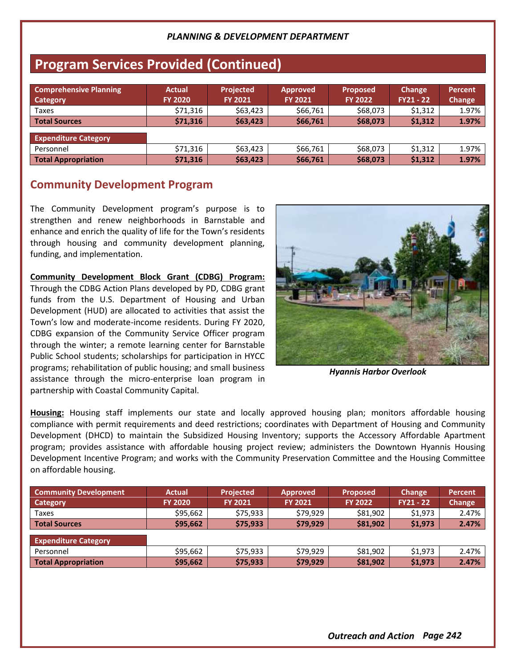# **Program Services Provided (Continued)**

| <b>Comprehensive Planning</b><br><b>Category</b> | <b>Actual</b><br><b>FY 2020</b> | <b>Projected</b><br><b>FY 2021</b> | <b>Approved</b><br><b>FY 2021</b> | <b>Proposed</b><br><b>FY 2022</b> | Change<br>$FY21 - 22$ | Percent<br>Change |
|--------------------------------------------------|---------------------------------|------------------------------------|-----------------------------------|-----------------------------------|-----------------------|-------------------|
| Taxes                                            | \$71,316                        | \$63,423                           | \$66,761                          | \$68,073                          | \$1,312               | 1.97%             |
| Total Sources                                    | \$71.316                        | \$63,423                           | \$66,761                          | \$68,073                          | \$1,312               | 1.97%             |
| <b>Expenditure Category</b>                      |                                 |                                    |                                   |                                   |                       |                   |
| Personnel                                        | \$71,316                        | \$63,423                           | \$66,761                          | \$68,073                          | \$1,312               | 1.97%             |
| <b>Total Appropriation</b>                       | \$71,316                        | \$63,423                           | \$66,761                          | \$68,073                          | \$1,312               | 1.97%             |

## **Community Development Program**

The Community Development program's purpose is to strengthen and renew neighborhoods in Barnstable and enhance and enrich the quality of life for the Town's residents through housing and community development planning, funding, and implementation.

**Community Development Block Grant (CDBG) Program:**

Through the CDBG Action Plans developed by PD, CDBG grant funds from the U.S. Department of Housing and Urban Development (HUD) are allocated to activities that assist the Town's low and moderate-income residents. During FY 2020, CDBG expansion of the Community Service Officer program through the winter; a remote learning center for Barnstable Public School students; scholarships for participation in HYCC programs; rehabilitation of public housing; and small business assistance through the micro-enterprise loan program in partnership with Coastal Community Capital.



*Hyannis Harbor Overlook*

**Housing:** Housing staff implements our state and locally approved housing plan; monitors affordable housing compliance with permit requirements and deed restrictions; coordinates with Department of Housing and Community Development (DHCD) to maintain the Subsidized Housing Inventory; supports the Accessory Affordable Apartment program; provides assistance with affordable housing project review; administers the Downtown Hyannis Housing Development Incentive Program; and works with the Community Preservation Committee and the Housing Committee on affordable housing.

| <b>Community Development</b><br>Category | <b>Actual</b><br><b>FY 2020</b> | <b>Projected</b><br><b>FY 2021</b> | <b>Approved</b><br><b>FY 2021</b> | <b>Proposed</b><br><b>FY 2022</b> | Change<br>$FY21 - 22$ | Percent<br>Change |
|------------------------------------------|---------------------------------|------------------------------------|-----------------------------------|-----------------------------------|-----------------------|-------------------|
| Taxes                                    | \$95.662                        | \$75.933                           | \$79.929                          | \$81,902                          | \$1,973               | 2.47%             |
| Total Sources                            | \$95,662                        | \$75.933                           | \$79.929                          | \$81,902                          | \$1,973               | 2.47%             |
| <b>Expenditure Category</b>              |                                 |                                    |                                   |                                   |                       |                   |
| Personnel                                | \$95,662                        | \$75.933                           | \$79.929                          | \$81,902                          | \$1,973               | 2.47%             |
| <b>Total Appropriation</b>               | \$95,662                        | \$75,933                           | \$79,929                          | \$81,902                          | \$1,973               | 2.47%             |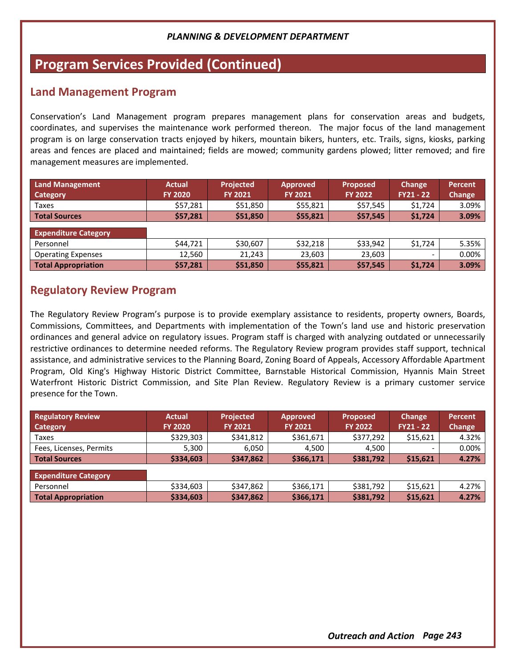# **Program Services Provided (Continued)**

## **Land Management Program**

Conservation's Land Management program prepares management plans for conservation areas and budgets, coordinates, and supervises the maintenance work performed thereon. The major focus of the land management program is on large conservation tracts enjoyed by hikers, mountain bikers, hunters, etc. Trails, signs, kiosks, parking areas and fences are placed and maintained; fields are mowed; community gardens plowed; litter removed; and fire management measures are implemented.

| <b>Land Management</b><br>Category | <b>Actual</b><br><b>FY 2020</b> | Projected<br><b>FY 2021</b> | <b>Approved</b><br><b>FY 2021</b> | <b>Proposed</b><br><b>FY 2022</b> | Change<br><b>FY21 - 22</b> | Percent<br>Change |
|------------------------------------|---------------------------------|-----------------------------|-----------------------------------|-----------------------------------|----------------------------|-------------------|
| Taxes                              | \$57,281                        | \$51,850                    | \$55,821                          | \$57,545                          | \$1,724                    | 3.09%             |
| <b>Total Sources</b>               | \$57,281                        | \$51,850                    | \$55,821                          | \$57,545                          | \$1,724                    | 3.09%             |
| <b>Expenditure Category</b>        |                                 |                             |                                   |                                   |                            |                   |
| Personnel                          | \$44,721                        | \$30,607                    | \$32,218                          | \$33,942                          | \$1,724                    | 5.35%             |
| <b>Operating Expenses</b>          | 12,560                          | 21.243                      | 23,603                            | 23,603                            | -                          | 0.00%             |
| <b>Total Appropriation</b>         | \$57,281                        | \$51,850                    | \$55,821                          | \$57,545                          | \$1,724                    | 3.09%             |

## **Regulatory Review Program**

The Regulatory Review Program's purpose is to provide exemplary assistance to residents, property owners, Boards, Commissions, Committees, and Departments with implementation of the Town's land use and historic preservation ordinances and general advice on regulatory issues. Program staff is charged with analyzing outdated or unnecessarily restrictive ordinances to determine needed reforms. The Regulatory Review program provides staff support, technical assistance, and administrative services to the Planning Board, Zoning Board of Appeals, Accessory Affordable Apartment Program, Old King's Highway Historic District Committee, Barnstable Historical Commission, Hyannis Main Street Waterfront Historic District Commission, and Site Plan Review. Regulatory Review is a primary customer service presence for the Town.

| <b>Regulatory Review</b>    | <b>Actual</b>  | <b>Projected</b> | <b>Approved</b> | <b>Proposed</b> | Change      | Percent |
|-----------------------------|----------------|------------------|-----------------|-----------------|-------------|---------|
| Category                    | <b>FY 2020</b> | <b>FY 2021</b>   | <b>FY 2021</b>  | <b>FY 2022</b>  | $FY21 - 22$ | Change  |
| Taxes                       | \$329,303      | \$341,812        | \$361,671       | \$377,292       | \$15,621    | 4.32%   |
| Fees, Licenses, Permits     | 5.300          | 6.050            | 4.500           | 4.500           |             | 0.00%   |
| <b>Total Sources</b>        | \$334,603      | \$347,862        | \$366,171       | \$381,792       | \$15,621    | 4.27%   |
| <b>Expenditure Category</b> |                |                  |                 |                 |             |         |
| Personnel                   | \$334,603      | \$347,862        | \$366,171       | \$381,792       | \$15.621    | 4.27%   |
| <b>Total Appropriation</b>  | \$334,603      | \$347,862        | \$366,171       | \$381,792       | \$15,621    | 4.27%   |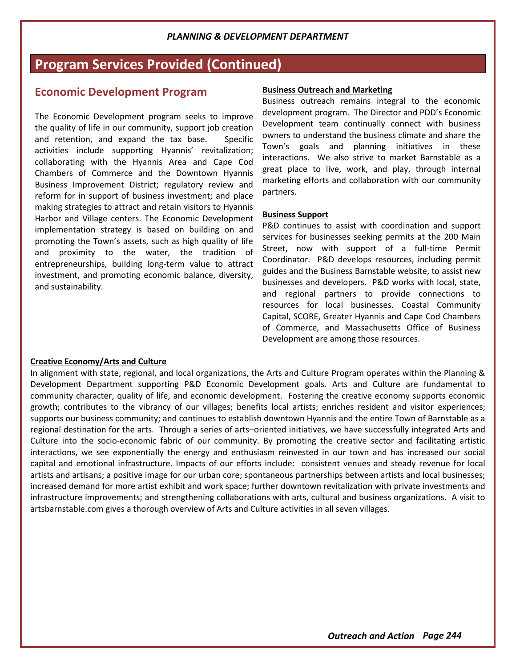# **Program Services Provided (Continued)**

## **Economic Development Program**

The Economic Development program seeks to improve the quality of life in our community, support job creation and retention, and expand the tax base. Specific activities include supporting Hyannis' revitalization; collaborating with the Hyannis Area and Cape Cod Chambers of Commerce and the Downtown Hyannis Business Improvement District; regulatory review and reform for in support of business investment; and place making strategies to attract and retain visitors to Hyannis Harbor and Village centers. The Economic Development implementation strategy is based on building on and promoting the Town's assets, such as high quality of life and proximity to the water, the tradition of entrepreneurships, building long-term value to attract investment, and promoting economic balance, diversity, and sustainability.

#### **Business Outreach and Marketing**

Business outreach remains integral to the economic development program. The Director and PDD's Economic Development team continually connect with business owners to understand the business climate and share the Town's goals and planning initiatives in these interactions. We also strive to market Barnstable as a great place to live, work, and play, through internal marketing efforts and collaboration with our community partners.

#### **Business Support**

P&D continues to assist with coordination and support services for businesses seeking permits at the 200 Main Street, now with support of a full-time Permit Coordinator. P&D develops resources, including permit guides and the Business Barnstable website, to assist new businesses and developers. P&D works with local, state, and regional partners to provide connections to resources for local businesses. Coastal Community Capital, SCORE, Greater Hyannis and Cape Cod Chambers of Commerce, and Massachusetts Office of Business Development are among those resources.

#### **Creative Economy/Arts and Culture**

In alignment with state, regional, and local organizations, the Arts and Culture Program operates within the Planning & Development Department supporting P&D Economic Development goals. Arts and Culture are fundamental to community character, quality of life, and economic development. Fostering the creative economy supports economic growth; contributes to the vibrancy of our villages; benefits local artists; enriches resident and visitor experiences; supports our business community; and continues to establish downtown Hyannis and the entire Town of Barnstable as a regional destination for the arts. Through a series of arts–oriented initiatives, we have successfully integrated Arts and Culture into the socio-economic fabric of our community. By promoting the creative sector and facilitating artistic interactions, we see exponentially the energy and enthusiasm reinvested in our town and has increased our social capital and emotional infrastructure. Impacts of our efforts include: consistent venues and steady revenue for local artists and artisans; a positive image for our urban core; spontaneous partnerships between artists and local businesses; increased demand for more artist exhibit and work space; further downtown revitalization with private investments and infrastructure improvements; and strengthening collaborations with arts, cultural and business organizations. A visit to artsbarnstable.com gives a thorough overview of Arts and Culture activities in all seven villages.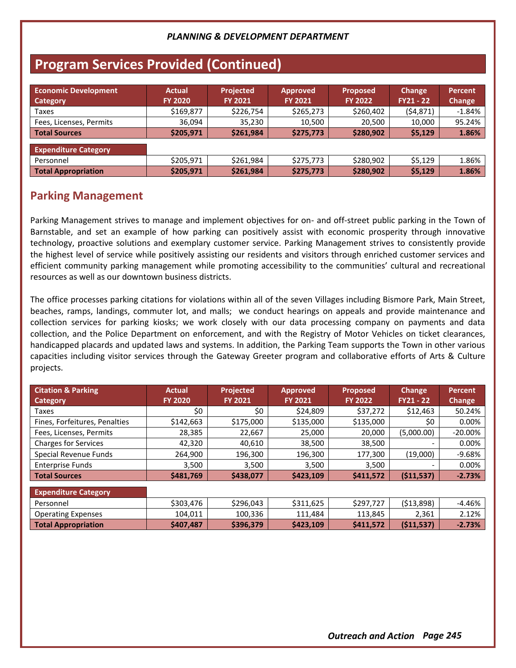# **Program Services Provided (Continued)**

| <b>Economic Development</b><br>Category | <b>Actual</b><br><b>FY 2020</b> | <b>Projected</b><br><b>FY 2021</b> | Approved<br><b>FY 2021</b> | <b>Proposed</b><br><b>FY 2022</b> | Change<br>$FY21 - 22$ | Percent<br>Change |
|-----------------------------------------|---------------------------------|------------------------------------|----------------------------|-----------------------------------|-----------------------|-------------------|
| Taxes                                   | \$169,877                       | \$226,754                          | \$265,273                  | \$260,402                         | (54, 871)             | $-1.84%$          |
| Fees, Licenses, Permits                 | 36,094                          | 35,230                             | 10,500                     | 20,500                            | 10,000                | 95.24%            |
| <b>Total Sources</b>                    | \$205,971                       | \$261,984                          | \$275,773                  | \$280,902                         | \$5,129               | 1.86%             |
| <b>Expenditure Category</b>             |                                 |                                    |                            |                                   |                       |                   |
| Personnel                               | \$205,971                       | \$261,984                          | \$275,773                  | \$280.902                         | \$5,129               | 1.86%             |
| <b>Total Appropriation</b>              | \$205,971                       | \$261,984                          | \$275,773                  | \$280,902                         | \$5,129               | 1.86%             |

## **Parking Management**

Parking Management strives to manage and implement objectives for on- and off-street public parking in the Town of Barnstable, and set an example of how parking can positively assist with economic prosperity through innovative technology, proactive solutions and exemplary customer service. Parking Management strives to consistently provide the highest level of service while positively assisting our residents and visitors through enriched customer services and efficient community parking management while promoting accessibility to the communities' cultural and recreational resources as well as our downtown business districts.

The office processes parking citations for violations within all of the seven Villages including Bismore Park, Main Street, beaches, ramps, landings, commuter lot, and malls; we conduct hearings on appeals and provide maintenance and collection services for parking kiosks; we work closely with our data processing company on payments and data collection, and the Police Department on enforcement, and with the Registry of Motor Vehicles on ticket clearances, handicapped placards and updated laws and systems. In addition, the Parking Team supports the Town in other various capacities including visitor services through the Gateway Greeter program and collaborative efforts of Arts & Culture projects.

| <b>Citation &amp; Parking</b><br><b>Category</b> | <b>Actual</b><br><b>FY 2020</b> | <b>Projected</b><br><b>FY 2021</b> | <b>Approved</b><br><b>FY 2021</b> | <b>Proposed</b><br><b>FY 2022</b> | <b>Change</b><br>$FY21 - 22$ | <b>Percent</b><br><b>Change</b> |
|--------------------------------------------------|---------------------------------|------------------------------------|-----------------------------------|-----------------------------------|------------------------------|---------------------------------|
| Taxes                                            | \$0                             | \$0                                | \$24,809                          | \$37,272                          | \$12,463                     | 50.24%                          |
| Fines, Forfeitures, Penalties                    | \$142,663                       | \$175,000                          | \$135,000                         | \$135,000                         | \$0                          | 0.00%                           |
| Fees, Licenses, Permits                          | 28,385                          | 22,667                             | 25,000                            | 20,000                            | (5,000.00)                   | $-20.00\%$                      |
| <b>Charges for Services</b>                      | 42,320                          | 40,610                             | 38,500                            | 38,500                            |                              | 0.00%                           |
| <b>Special Revenue Funds</b>                     | 264,900                         | 196,300                            | 196,300                           | 177,300                           | (19,000)                     | $-9.68%$                        |
| <b>Enterprise Funds</b>                          | 3,500                           | 3,500                              | 3,500                             | 3,500                             |                              | 0.00%                           |
| <b>Total Sources</b>                             | \$481,769                       | \$438,077                          | \$423,109                         | \$411,572                         | (511, 537)                   | $-2.73%$                        |
| <b>Expenditure Category</b>                      |                                 |                                    |                                   |                                   |                              |                                 |
| Personnel                                        | \$303,476                       | \$296,043                          | \$311,625                         | \$297,727                         | ( \$13,898)                  | $-4.46%$                        |
| <b>Operating Expenses</b>                        | 104.011                         | 100,336                            | 111,484                           | 113.845                           | 2,361                        | 2.12%                           |
| <b>Total Appropriation</b>                       | \$407,487                       | \$396,379                          | \$423,109                         | \$411,572                         | (511,537)                    | $-2.73%$                        |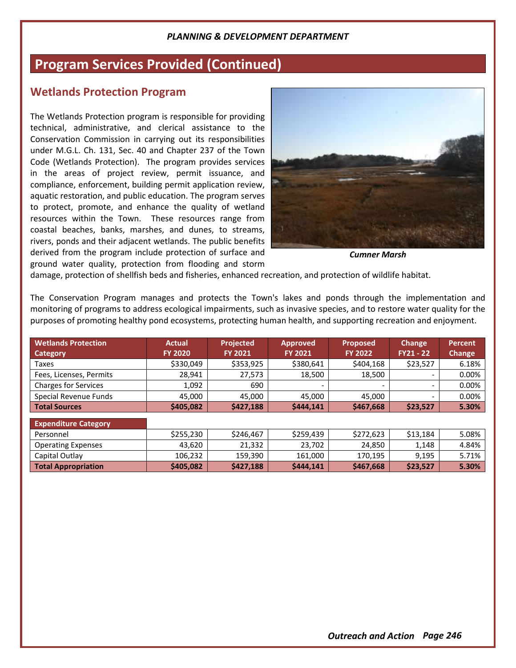# **Program Services Provided (Continued)**

### **Wetlands Protection Program**

The Wetlands Protection program is responsible for providing technical, administrative, and clerical assistance to the Conservation Commission in carrying out its responsibilities under M.G.L. Ch. 131, Sec. 40 and Chapter 237 of the Town Code (Wetlands Protection). The program provides services in the areas of project review, permit issuance, and compliance, enforcement, building permit application review, aquatic restoration, and public education. The program serves to protect, promote, and enhance the quality of wetland resources within the Town. These resources range from coastal beaches, banks, marshes, and dunes, to streams, rivers, ponds and their adjacent wetlands. The public benefits derived from the program include protection of surface and ground water quality, protection from flooding and storm



*Cumner Marsh*

damage, protection of shellfish beds and fisheries, enhanced recreation, and protection of wildlife habitat.

The Conservation Program manages and protects the Town's lakes and ponds through the implementation and monitoring of programs to address ecological impairments, such as invasive species, and to restore water quality for the purposes of promoting healthy pond ecosystems, protecting human health, and supporting recreation and enjoyment.

| <b>Wetlands Protection</b><br><b>Category</b> | <b>Actual</b><br><b>FY 2020</b> | Projected<br><b>FY 2021</b> | <b>Approved</b><br><b>FY 2021</b> | <b>Proposed</b><br><b>FY 2022</b> | <b>Change</b><br>FY21 - 22 | <b>Percent</b><br><b>Change</b> |
|-----------------------------------------------|---------------------------------|-----------------------------|-----------------------------------|-----------------------------------|----------------------------|---------------------------------|
| Taxes                                         | \$330,049                       | \$353,925                   | \$380,641                         | \$404,168                         | \$23,527                   | 6.18%                           |
| Fees, Licenses, Permits                       | 28,941                          | 27,573                      | 18,500                            | 18,500                            |                            | 0.00%                           |
| <b>Charges for Services</b>                   | 1,092                           | 690                         | $\overline{\phantom{a}}$          | $\overline{\phantom{a}}$          | -                          | 0.00%                           |
| Special Revenue Funds                         | 45.000                          | 45.000                      | 45.000                            | 45.000                            | $\overline{\phantom{0}}$   | 0.00%                           |
| <b>Total Sources</b>                          | \$405,082                       | \$427,188                   | \$444,141                         | \$467,668                         | \$23,527                   | 5.30%                           |
| <b>Expenditure Category</b>                   |                                 |                             |                                   |                                   |                            |                                 |
| Personnel                                     | \$255,230                       | \$246,467                   | \$259,439                         | \$272,623                         | \$13,184                   | 5.08%                           |
| <b>Operating Expenses</b>                     | 43,620                          | 21,332                      | 23,702                            | 24,850                            | 1,148                      | 4.84%                           |
| Capital Outlay                                | 106,232                         | 159,390                     | 161,000                           | 170,195                           | 9,195                      | 5.71%                           |
| <b>Total Appropriation</b>                    | \$405,082                       | \$427,188                   | \$444.141                         | \$467,668                         | \$23,527                   | 5.30%                           |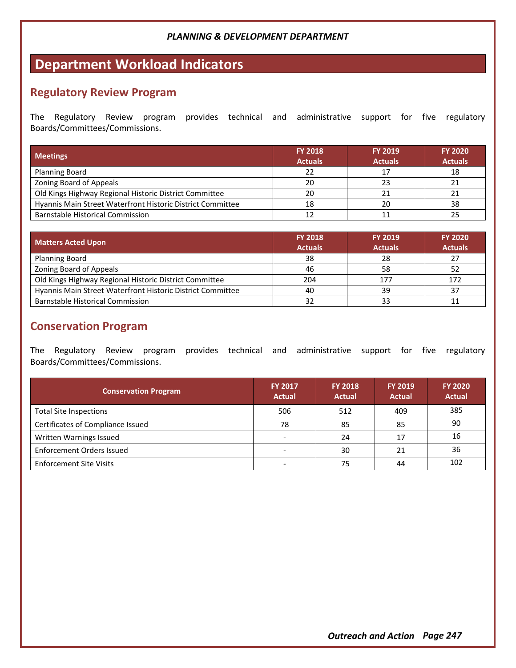# **Department Workload Indicators**

## **Regulatory Review Program**

The Regulatory Review program provides technical and administrative support for five regulatory Boards/Committees/Commissions.

| <b>Meetings</b>                                            | <b>FY 2018</b><br><b>Actuals</b> | <b>FY 2019</b><br><b>Actuals</b> | <b>FY 2020</b><br><b>Actuals</b> |
|------------------------------------------------------------|----------------------------------|----------------------------------|----------------------------------|
| <b>Planning Board</b>                                      | 22                               |                                  | 18                               |
| Zoning Board of Appeals                                    | 20                               | 23                               |                                  |
| Old Kings Highway Regional Historic District Committee     | 20                               | 21                               |                                  |
| Hyannis Main Street Waterfront Historic District Committee | 18                               | 20                               | 38                               |
| Barnstable Historical Commission                           |                                  |                                  |                                  |

| <b>Matters Acted Upon</b>                                  | <b>FY 2018</b><br><b>Actuals</b> | <b>FY 2019</b><br><b>Actuals</b> | <b>FY 2020</b><br><b>Actuals</b> |
|------------------------------------------------------------|----------------------------------|----------------------------------|----------------------------------|
| <b>Planning Board</b>                                      | 38                               | 28                               | 27                               |
| Zoning Board of Appeals                                    | 46                               | 58                               | 52                               |
| Old Kings Highway Regional Historic District Committee     | 204                              | 177                              | 172                              |
| Hyannis Main Street Waterfront Historic District Committee | 40                               | 39                               | 37                               |
| <b>Barnstable Historical Commission</b>                    | 32                               | 33                               |                                  |

## **Conservation Program**

The Regulatory Review program provides technical and administrative support for five regulatory Boards/Committees/Commissions.

| <b>Conservation Program</b>       | <b>FY 2017</b><br><b>Actual</b> | <b>FY 2018</b><br><b>Actual</b> | <b>FY 2019</b><br><b>Actual</b> | <b>FY 2020</b><br><b>Actual</b> |
|-----------------------------------|---------------------------------|---------------------------------|---------------------------------|---------------------------------|
| <b>Total Site Inspections</b>     | 506                             | 512                             | 409                             | 385                             |
| Certificates of Compliance Issued | 78                              | 85                              | 85                              | 90                              |
| Written Warnings Issued           |                                 | 24                              | 17                              | 16                              |
| Enforcement Orders Issued         |                                 | 30                              | 21                              | 36                              |
| <b>Enforcement Site Visits</b>    |                                 | 75                              | 44                              | 102                             |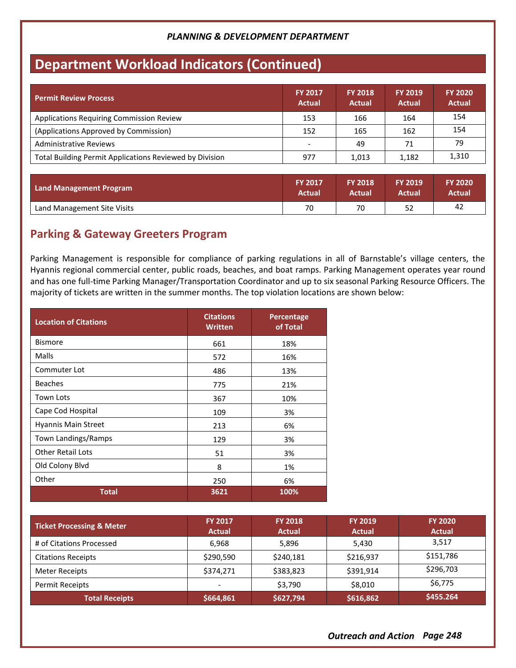# **Department Workload Indicators (Continued)**

| <b>Permit Review Process</b>                            | <b>FY 2017</b><br><b>Actual</b> | <b>FY 2018</b><br><b>Actual</b> | <b>FY 2019</b><br><b>Actual</b> | <b>FY 2020</b><br><b>Actual</b> |
|---------------------------------------------------------|---------------------------------|---------------------------------|---------------------------------|---------------------------------|
| <b>Applications Requiring Commission Review</b>         | 153                             | 166                             | 164                             | 154                             |
| (Applications Approved by Commission)                   | 152                             | 165                             | 162                             | 154                             |
| Administrative Reviews                                  |                                 | 49                              | 71                              | 79                              |
| Total Building Permit Applications Reviewed by Division | 977                             | 1.013                           | 1,182                           | 1,310                           |

| <b>Land Management Program</b> | <b>FY 2017</b> | <b>FY 2018</b> | <b>FY 2019</b> | <b>FY 2020</b> |
|--------------------------------|----------------|----------------|----------------|----------------|
|                                | Actual         | Actual         | Actual         | Actual         |
| Land Management Site Visits    | 70             | 70             | 52             | -42            |

## **Parking & Gateway Greeters Program**

Parking Management is responsible for compliance of parking regulations in all of Barnstable's village centers, the Hyannis regional commercial center, public roads, beaches, and boat ramps. Parking Management operates year round and has one full-time Parking Manager/Transportation Coordinator and up to six seasonal Parking Resource Officers. The majority of tickets are written in the summer months. The top violation locations are shown below:

| <b>Location of Citations</b> | <b>Citations</b><br><b>Written</b> | Percentage<br>of Total |  |
|------------------------------|------------------------------------|------------------------|--|
| <b>Bismore</b>               | 661                                | 18%                    |  |
| Malls                        | 572                                | 16%                    |  |
| Commuter Lot                 | 486                                | 13%                    |  |
| <b>Beaches</b>               | 775                                | 21%                    |  |
| <b>Town Lots</b>             | 367                                | 10%                    |  |
| Cape Cod Hospital            | 109                                | 3%                     |  |
| <b>Hyannis Main Street</b>   | 213                                | 6%                     |  |
| Town Landings/Ramps          | 129                                | 3%                     |  |
| <b>Other Retail Lots</b>     | 51                                 | 3%                     |  |
| Old Colony Blvd              | 8                                  | 1%                     |  |
| Other                        | 250                                | 6%                     |  |
| <b>Total</b>                 | 3621                               | 100%                   |  |

| <b>Ticket Processing &amp; Meter</b> | <b>FY 2017</b><br><b>Actual</b> | <b>FY 2018</b><br><b>Actual</b> | <b>FY 2019</b><br><b>Actual</b> | <b>FY 2020</b><br><b>Actual</b> |
|--------------------------------------|---------------------------------|---------------------------------|---------------------------------|---------------------------------|
| # of Citations Processed             | 6.968                           | 5,896                           | 5.430                           | 3,517                           |
| <b>Citations Receipts</b>            | \$290,590                       | \$240,181                       | \$216,937                       | \$151,786                       |
| Meter Receipts                       | \$374,271                       | \$383,823                       | \$391.914                       | \$296,703                       |
| <b>Permit Receipts</b>               | -                               | \$3,790                         | \$8,010                         | \$6,775                         |
| <b>Total Receipts</b>                | \$664,861                       | \$627,794                       | \$616,862                       | \$455.264                       |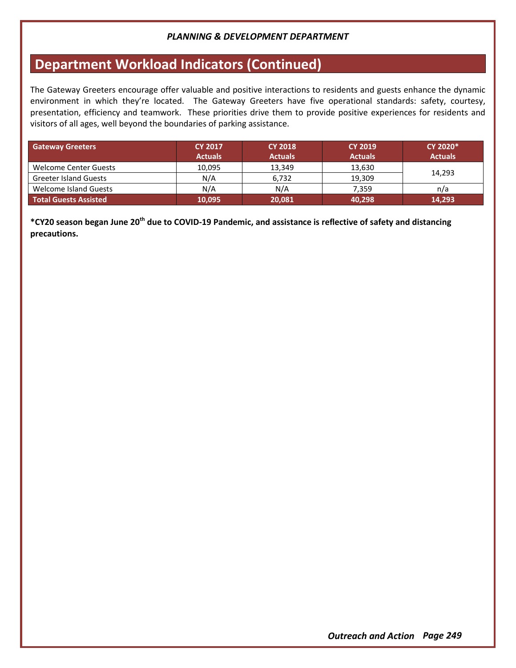# **Department Workload Indicators (Continued)**

The Gateway Greeters encourage offer valuable and positive interactions to residents and guests enhance the dynamic environment in which they're located. The Gateway Greeters have five operational standards: safety, courtesy, presentation, efficiency and teamwork. These priorities drive them to provide positive experiences for residents and visitors of all ages, well beyond the boundaries of parking assistance.

| <b>Gateway Greeters</b>      | <b>CY 2017</b> | <b>CY 2018</b> | <b>CY 2019</b> | CY 2020*       |
|------------------------------|----------------|----------------|----------------|----------------|
|                              | <b>Actuals</b> | <b>Actuals</b> | <b>Actuals</b> | <b>Actuals</b> |
| Welcome Center Guests        | 10,095         | 13,349         | 13,630         |                |
| <b>Greeter Island Guests</b> | N/A            | 6.732          | 19.309         | 14,293         |
| <b>Welcome Island Guests</b> | N/A            | N/A            | 7.359          | n/a            |
| <b>Total Guests Assisted</b> | 10,095         | 20,081         | 40,298         | 14,293         |

**\*CY20 season began June 20th due to COVID-19 Pandemic, and assistance is reflective of safety and distancing precautions.**

*Outreach and Action Page 249*